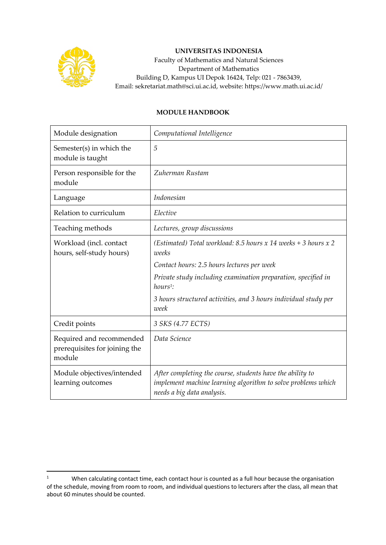

## **UNIVERSITAS INDONESIA**

Faculty of Mathematics and Natural Sciences Department of Mathematics Building D, Kampus UI Depok 16424, Telp: 021 - 7863439, Email: sekretariat.math@sci.ui.ac.id, website: https://www.math.ui.ac.id/

## **MODULE HANDBOOK**

| Module designation                                                  | Computational Intelligence                                                                                                                              |
|---------------------------------------------------------------------|---------------------------------------------------------------------------------------------------------------------------------------------------------|
| Semester(s) in which the<br>module is taught                        | 5                                                                                                                                                       |
| Person responsible for the<br>module                                | Zuherman Rustam                                                                                                                                         |
| Language                                                            | Indonesian                                                                                                                                              |
| Relation to curriculum                                              | Elective                                                                                                                                                |
| Teaching methods                                                    | Lectures, group discussions                                                                                                                             |
| Workload (incl. contact<br>hours, self-study hours)                 | (Estimated) Total workload: 8.5 hours $x$ 14 weeks + 3 hours $x$ 2<br>weeks                                                                             |
|                                                                     | Contact hours: 2.5 hours lectures per week                                                                                                              |
|                                                                     | Private study including examination preparation, specified in<br>$hours1$ :                                                                             |
|                                                                     | 3 hours structured activities, and 3 hours individual study per<br>week                                                                                 |
| Credit points                                                       | 3 SKS (4.77 ECTS)                                                                                                                                       |
| Required and recommended<br>prerequisites for joining the<br>module | Data Science                                                                                                                                            |
| Module objectives/intended<br>learning outcomes                     | After completing the course, students have the ability to<br>implement machine learning algorithm to solve problems which<br>needs a big data analysis. |

<sup>&</sup>lt;sup>1</sup> When calculating contact time, each contact hour is counted as a full hour because the organisation of the schedule, moving from room to room, and individual questions to lecturers after the class, all mean that about 60 minutes should be counted.